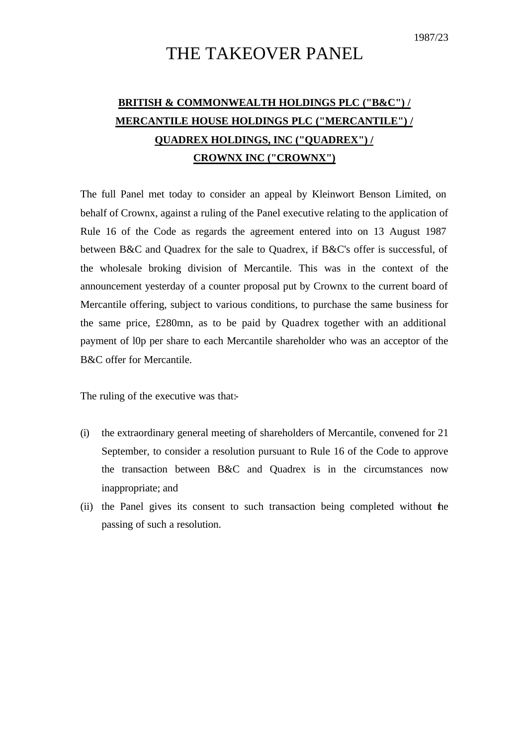1987/23

# THE TAKEOVER PANEL

# **BRITISH & COMMONWEALTH HOLDINGS PLC ("B&C") / MERCANTILE HOUSE HOLDINGS PLC ("MERCANTILE") / QUADREX HOLDINGS, INC ("QUADREX") / CROWNX INC ("CROWNX")**

The full Panel met today to consider an appeal by Kleinwort Benson Limited, on behalf of Crownx, against a ruling of the Panel executive relating to the application of Rule 16 of the Code as regards the agreement entered into on 13 August 1987 between B&C and Quadrex for the sale to Quadrex, if B&C's offer is successful, of the wholesale broking division of Mercantile. This was in the context of the announcement yesterday of a counter proposal put by Crownx to the current board of Mercantile offering, subject to various conditions, to purchase the same business for the same price, £280mn, as to be paid by Quadrex together with an additional payment of l0p per share to each Mercantile shareholder who was an acceptor of the B&C offer for Mercantile.

The ruling of the executive was that:-

- (i) the extraordinary general meeting of shareholders of Mercantile, convened for 21 September, to consider a resolution pursuant to Rule 16 of the Code to approve the transaction between B&C and Quadrex is in the circumstances now inappropriate; and
- (ii) the Panel gives its consent to such transaction being completed without the passing of such a resolution.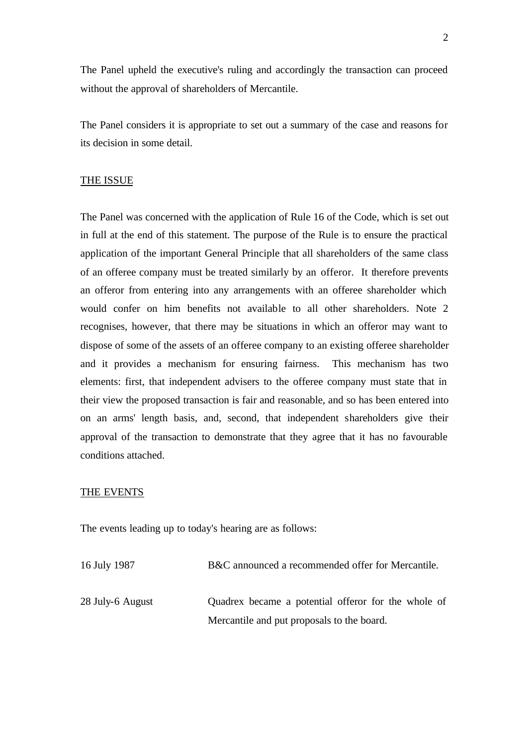The Panel upheld the executive's ruling and accordingly the transaction can proceed without the approval of shareholders of Mercantile.

The Panel considers it is appropriate to set out a summary of the case and reasons for its decision in some detail.

### THE ISSUE

The Panel was concerned with the application of Rule 16 of the Code, which is set out in full at the end of this statement. The purpose of the Rule is to ensure the practical application of the important General Principle that all shareholders of the same class of an offeree company must be treated similarly by an offeror. It therefore prevents an offeror from entering into any arrangements with an offeree shareholder which would confer on him benefits not available to all other shareholders. Note 2 recognises, however, that there may be situations in which an offeror may want to dispose of some of the assets of an offeree company to an existing offeree shareholder and it provides a mechanism for ensuring fairness. This mechanism has two elements: first, that independent advisers to the offeree company must state that in their view the proposed transaction is fair and reasonable, and so has been entered into on an arms' length basis, and, second, that independent shareholders give their approval of the transaction to demonstrate that they agree that it has no favourable conditions attached.

### THE EVENTS

The events leading up to today's hearing are as follows:

16 July 1987 B&C announced a recommended offer for Mercantile.

28 July-6 August Quadrex became a potential offeror for the whole of Mercantile and put proposals to the board.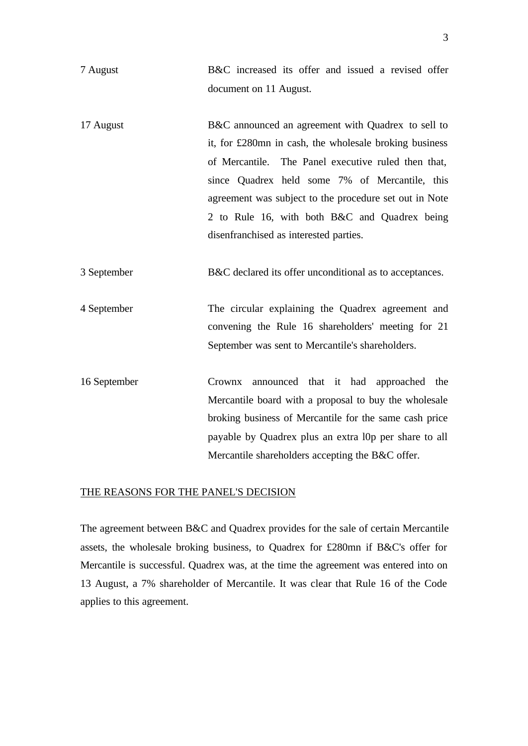- 7 August B&C increased its offer and issued a revised offer document on 11 August.
- 17 August B&C announced an agreement with Quadrex to sell to it, for £280mn in cash, the wholesale broking business of Mercantile. The Panel executive ruled then that, since Quadrex held some 7% of Mercantile, this agreement was subject to the procedure set out in Note 2 to Rule 16, with both B&C and Quadrex being disenfranchised as interested parties.
- 3 September B&C declared its offer unconditional as to acceptances.
- 4 September The circular explaining the Quadrex agreement and convening the Rule 16 shareholders' meeting for 21 September was sent to Mercantile's shareholders.
- 16 September Crownx announced that it had approached the Mercantile board with a proposal to buy the wholesale broking business of Mercantile for the same cash price payable by Quadrex plus an extra l0p per share to all Mercantile shareholders accepting the B&C offer.

### THE REASONS FOR THE PANEL'S DECISION

The agreement between B&C and Quadrex provides for the sale of certain Mercantile assets, the wholesale broking business, to Quadrex for £280mn if B&C's offer for Mercantile is successful. Quadrex was, at the time the agreement was entered into on 13 August, a 7% shareholder of Mercantile. It was clear that Rule 16 of the Code applies to this agreement.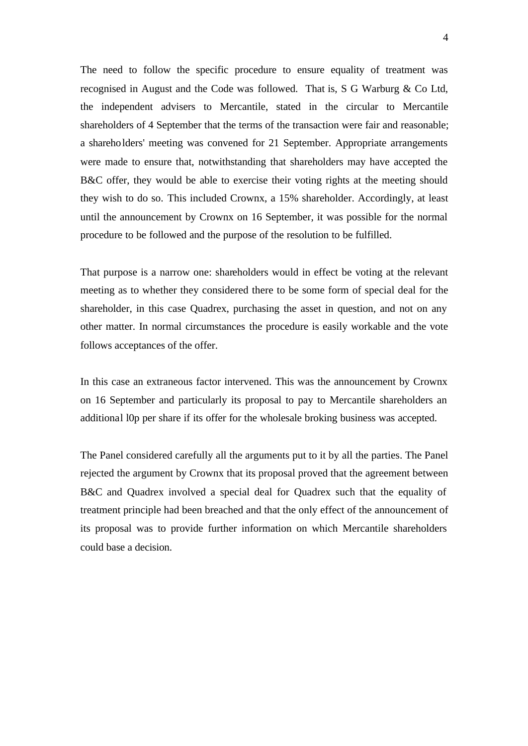The need to follow the specific procedure to ensure equality of treatment was recognised in August and the Code was followed. That is, S G Warburg & Co Ltd, the independent advisers to Mercantile, stated in the circular to Mercantile shareholders of 4 September that the terms of the transaction were fair and reasonable; a shareholders' meeting was convened for 21 September. Appropriate arrangements were made to ensure that, notwithstanding that shareholders may have accepted the B&C offer, they would be able to exercise their voting rights at the meeting should they wish to do so. This included Crownx, a 15% shareholder. Accordingly, at least until the announcement by Crownx on 16 September, it was possible for the normal procedure to be followed and the purpose of the resolution to be fulfilled.

That purpose is a narrow one: shareholders would in effect be voting at the relevant meeting as to whether they considered there to be some form of special deal for the shareholder, in this case Quadrex, purchasing the asset in question, and not on any other matter. In normal circumstances the procedure is easily workable and the vote follows acceptances of the offer.

In this case an extraneous factor intervened. This was the announcement by Crownx on 16 September and particularly its proposal to pay to Mercantile shareholders an additional l0p per share if its offer for the wholesale broking business was accepted.

The Panel considered carefully all the arguments put to it by all the parties. The Panel rejected the argument by Crownx that its proposal proved that the agreement between B&C and Quadrex involved a special deal for Quadrex such that the equality of treatment principle had been breached and that the only effect of the announcement of its proposal was to provide further information on which Mercantile shareholders could base a decision.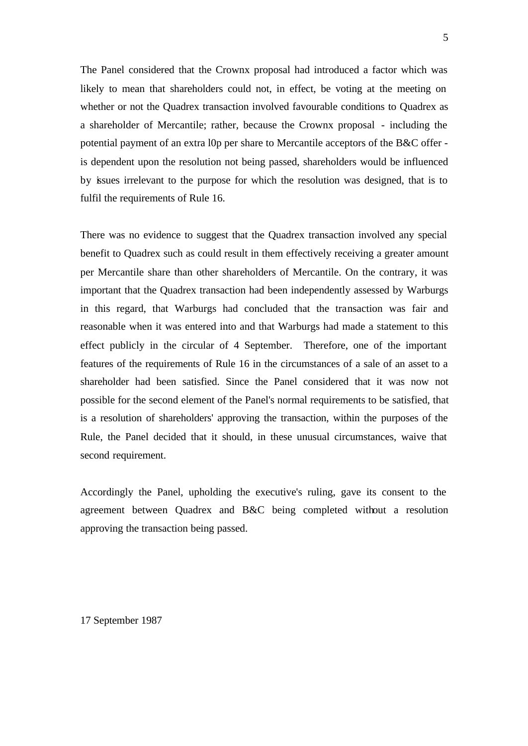The Panel considered that the Crownx proposal had introduced a factor which was likely to mean that shareholders could not, in effect, be voting at the meeting on whether or not the Quadrex transaction involved favourable conditions to Quadrex as a shareholder of Mercantile; rather, because the Crownx proposal - including the potential payment of an extra l0p per share to Mercantile acceptors of the B&C offer is dependent upon the resolution not being passed, shareholders would be influenced by issues irrelevant to the purpose for which the resolution was designed, that is to fulfil the requirements of Rule 16.

There was no evidence to suggest that the Quadrex transaction involved any special benefit to Quadrex such as could result in them effectively receiving a greater amount per Mercantile share than other shareholders of Mercantile. On the contrary, it was important that the Quadrex transaction had been independently assessed by Warburgs in this regard, that Warburgs had concluded that the transaction was fair and reasonable when it was entered into and that Warburgs had made a statement to this effect publicly in the circular of 4 September. Therefore, one of the important features of the requirements of Rule 16 in the circumstances of a sale of an asset to a shareholder had been satisfied. Since the Panel considered that it was now not possible for the second element of the Panel's normal requirements to be satisfied, that is a resolution of shareholders' approving the transaction, within the purposes of the Rule, the Panel decided that it should, in these unusual circumstances, waive that second requirement.

Accordingly the Panel, upholding the executive's ruling, gave its consent to the agreement between Quadrex and B&C being completed without a resolution approving the transaction being passed.

17 September 1987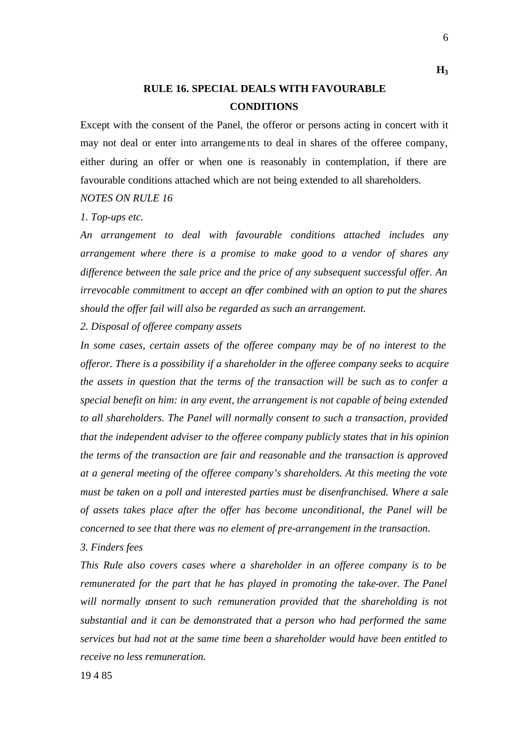## **RULE 16. SPECIAL DEALS WITH FAVOURABLE CONDITIONS**

Except with the consent of the Panel, the offeror or persons acting in concert with it may not deal or enter into arrangements to deal in shares of the offeree company, either during an offer or when one is reasonably in contemplation, if there are favourable conditions attached which are not being extended to all shareholders.

### *NOTES ON RULE 16*

### *1. Top-ups etc.*

*An arrangement to deal with favourable conditions attached includes any arrangement where there is a promise to make good to a vendor of shares any difference between the sale price and the price of any subsequent successful offer. An irrevocable commitment to accept an offer combined with an option to put the shares should the offer fail will also be regarded as such an arrangement.*

*2. Disposal of offeree company assets*

*In some cases, certain assets of the offeree company may be of no interest to the offeror. There is a possibility if a shareholder in the offeree company seeks to acquire the assets in question that the terms of the transaction will be such as to confer a special benefit on him: in any event, the arrangement is not capable of being extended to all shareholders. The Panel will normally consent to such a transaction, provided that the independent adviser to the offeree company publicly states that in his opinion the terms of the transaction are fair and reasonable and the transaction is approved at a general meeting of the offeree company's shareholders. At this meeting the vote must be taken on a poll and interested parties must be disenfranchised. Where a sale of assets takes place after the offer has become unconditional, the Panel will be concerned to see that there was no element of pre-arrangement in the transaction.*

### *3. Finders fees*

*This Rule also covers cases where a shareholder in an offeree company is to be remunerated for the part that he has played in promoting the take-over. The Panel will normally consent to such remuneration provided that the shareholding is not substantial and it can be demonstrated that a person who had performed the same services but had not at the same time been a shareholder would have been entitled to receive no less remuneration.*

6